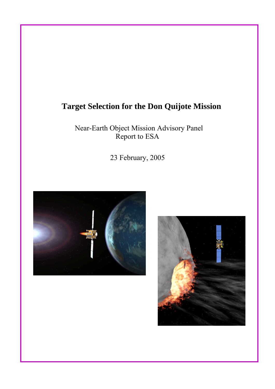# **Target Selection for the Don Quijote Mission**

Near-Earth Object Mission Advisory Panel Report to ESA

23 February, 2005



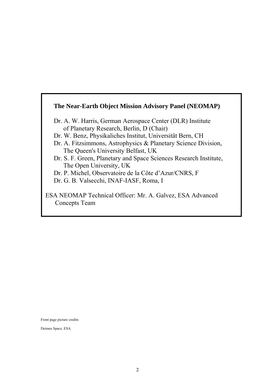## **The Near-Earth Object Mission Advisory Panel (NEOMAP)**

- Dr. A. W. Harris, German Aerospace Center (DLR) Institute of Planetary Research, Berlin, D (Chair)
- Dr. W. Benz, Physikaliches Institut, Universität Bern, CH
- Dr. A. Fitzsimmons, Astrophysics & Planetary Science Division, The Queen's University Belfast, UK
- Dr. S. F. Green, Planetary and Space Sciences Research Institute, The Open University, UK
- Dr. P. Michel, Observatoire de la Côte d'Azur/CNRS, F
- Dr. G. B. Valsecchi, INAF-IASF, Roma, I

ESA NEOMAP Technical Officer: Mr. A. Galvez, ESA Advanced Concepts Team

Front page picture credits

Deimos Space, ESA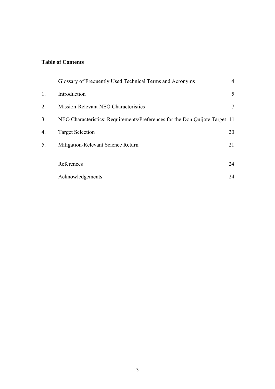## **Table of Contents**

|    | Glossary of Frequently Used Technical Terms and Acronyms                    | $\overline{4}$ |
|----|-----------------------------------------------------------------------------|----------------|
| 1. | Introduction                                                                | 5              |
| 2. | Mission-Relevant NEO Characteristics                                        | 7              |
| 3. | NEO Characteristics: Requirements/Preferences for the Don Quijote Target 11 |                |
| 4. | <b>Target Selection</b>                                                     | 20             |
| 5. | Mitigation-Relevant Science Return                                          | 21             |
|    |                                                                             |                |
|    | References                                                                  | 24             |
|    | Acknowledgements                                                            | 24             |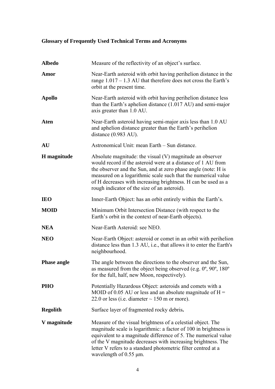## **Glossary of Frequently Used Technical Terms and Acronyms**

| <b>Albedo</b>      | Measure of the reflectivity of an object's surface.                                                                                                                                                                                                                                                                                                                           |  |  |  |  |  |
|--------------------|-------------------------------------------------------------------------------------------------------------------------------------------------------------------------------------------------------------------------------------------------------------------------------------------------------------------------------------------------------------------------------|--|--|--|--|--|
| Amor               | Near-Earth asteroid with orbit having perihelion distance in the<br>range $1.017 - 1.3$ AU that therefore does not cross the Earth's<br>orbit at the present time.                                                                                                                                                                                                            |  |  |  |  |  |
| <b>Apollo</b>      | Near-Earth asteroid with orbit having perihelion distance less<br>than the Earth's aphelion distance $(1.017 \text{ AU})$ and semi-major<br>axis greater than 1.0 AU.                                                                                                                                                                                                         |  |  |  |  |  |
| Aten               | Near-Earth asteroid having semi-major axis less than 1.0 AU<br>and aphelion distance greater than the Earth's perihelion<br>distance $(0.983 \text{ AU})$ .                                                                                                                                                                                                                   |  |  |  |  |  |
| <b>AU</b>          | Astronomical Unit: mean Earth - Sun distance.                                                                                                                                                                                                                                                                                                                                 |  |  |  |  |  |
| H magnitude        | Absolute magnitude: the visual $(V)$ magnitude an observer<br>would record if the asteroid were at a distance of 1 AU from<br>the observer and the Sun, and at zero phase angle (note: H is<br>measured on a logarithmic scale such that the numerical value<br>of H decreases with increasing brightness. H can be used as a<br>rough indicator of the size of an asteroid). |  |  |  |  |  |
| <b>IEO</b>         | Inner-Earth Object: has an orbit entirely within the Earth's.                                                                                                                                                                                                                                                                                                                 |  |  |  |  |  |
| <b>MOID</b>        | Minimum Orbit Intersection Distance (with respect to the<br>Earth's orbit in the context of near-Earth objects).                                                                                                                                                                                                                                                              |  |  |  |  |  |
| <b>NEA</b>         | Near-Earth Asteroid: see NEO.                                                                                                                                                                                                                                                                                                                                                 |  |  |  |  |  |
| <b>NEO</b>         | Near-Earth Object: asteroid or comet in an orbit with perihelion<br>distance less than 1.3 AU, i.e., that allows it to enter the Earth's<br>neighbourhood.                                                                                                                                                                                                                    |  |  |  |  |  |
| <b>Phase angle</b> | The angle between the directions to the observer and the Sun,<br>as measured from the object being observed (e.g. $0^\circ$ , $90^\circ$ , $180^\circ$ )<br>for the full, half, new Moon, respectively).                                                                                                                                                                      |  |  |  |  |  |
| <b>PHO</b>         | Potentially Hazardous Object: asteroids and comets with a<br>MOID of 0.05 AU or less and an absolute magnitude of $H =$<br>22.0 or less (i.e. diameter $\sim$ 150 m or more).                                                                                                                                                                                                 |  |  |  |  |  |
| <b>Regolith</b>    | Surface layer of fragmented rocky debris.                                                                                                                                                                                                                                                                                                                                     |  |  |  |  |  |
| V magnitude        | Measure of the visual brightness of a celestial object. The<br>magnitude scale is logarithmic: a factor of 100 in brightness is<br>equivalent to a magnitude difference of 5. The numerical value<br>of the V magnitude decreases with increasing brightness. The<br>letter V refers to a standard photometric filter centred at a<br>wavelength of $0.55 \mu m$ .            |  |  |  |  |  |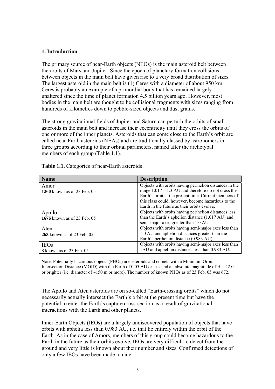#### **1. Introduction**

The primary source of near-Earth objects (NEOs) is the main asteroid belt between the orbits of Mars and Jupiter. Since the epoch of planetary formation collisions between objects in the main belt have given rise to a very broad distribution of sizes. The largest asteroid in the main belt is (1) Ceres with a diameter of about 950 km. Ceres is probably an example of a primordial body that has remained largely unaltered since the time of planet formation 4.5 billion years ago. However, most bodies in the main belt are thought to be collisional fragments with sizes ranging from hundreds of kilometres down to pebble-sized objects and dust grains.

The strong gravitational fields of Jupiter and Saturn can perturb the orbits of small asteroids in the main belt and increase their eccentricity until they cross the orbits of one or more of the inner planets. Asteroids that can come close to the Earth's orbit are called near-Earth asteroids (NEAs) and are traditionally classed by astronomers in three groups according to their orbital parameters, named after the archetypal members of each group (Table 1.1).

| <b>Name</b>                        | <b>Description</b>                                     |
|------------------------------------|--------------------------------------------------------|
| Amor                               | Objects with orbits having perihelion distances in the |
| <b>1260</b> known as of 23 Feb. 05 | range $1.017 - 1.3$ AU and therefore do not cross the  |
|                                    | Earth's orbit at the present time. Current members of  |
|                                    | this class could, however, become hazardous to the     |
|                                    | Earth in the future as their orbits evolve.            |
| Apollo                             | Objects with orbits having perihelion distances less   |
| 1676 known as of 23 Feb. 05        | than the Earth's aphelion distance (1.017 AU) and      |
|                                    | semi-major axes greater than 1.0 AU.                   |
| Aten                               | Objects with orbits having semi-major axes less than   |
| <b>263</b> known as of 23 Feb. 05  | 1.0 AU and aphelion distances greater than the         |
|                                    | Earth's perihelion distance (0.983 AU).                |
| <b>IEOs</b>                        | Objects with orbits having semi-major axes less than   |
| 3 known as of 23 Feb. 05           | 1AU and aphelion distances less than 0.983 AU.         |

**Table 1.1.** Categories of near-Earth asteroids

Note: Potentially hazardous objects (PHOs) are asteroids and comets with a Minimum Orbit Intersection Distance (MOID) with the Earth of 0.05 AU or less and an absolute magnitude of  $H = 22.0$ or brighter (i.e. diameter of ~150 m or more). The number of known PHOs as of 23 Feb. 05 was 672.

The Apollo and Aten asteroids are on so-called "Earth-crossing orbits" which do not necessarily actually intersect the Earth's orbit at the present time but have the potential to enter the Earth's capture cross-section as a result of gravitational interactions with the Earth and other planets.

Inner-Earth Objects (IEOs) are a largely undiscovered population of objects that have orbits with aphelia less than 0.983 AU, i.e. that lie entirely within the orbit of the Earth. As in the case of Amors, members of this group could become hazardous to the Earth in the future as their orbits evolve. IEOs are very difficult to detect from the ground and very little is known about their number and sizes. Confirmed detections of only a few IEOs have been made to date.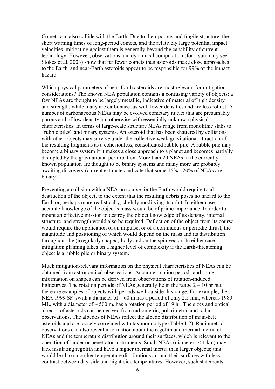Comets can also collide with the Earth. Due to their porous and fragile structure, the short warning times of long-period comets, and the relatively large potential impact velocities, mitigating against them is generally beyond the capability of current technology. However, observations and dynamical computation (for a summary see Stokes et al. 2003) show that far fewer comets than asteroids make close approaches to the Earth, and near-Earth asteroids appear to be responsible for 99% of the impact hazard*.*

Which physical parameters of near-Earth asteroids are most relevant for mitigation considerations? The known NEA population contains a confusing variety of objects: a few NEAs are thought to be largely metallic, indicative of material of high density and strength, while many are carbonaceous with lower densities and are less robust. A number of carbonaceous NEAs may be evolved cometary nuclei that are presumably porous and of low density but otherwise with essentially unknown physical characteristics. In terms of large-scale structure NEAs range from monolithic slabs to "rubble piles" and binary systems. An asteroid that has been shattered by collisions with other objects may survive under the collective weak gravitational attraction of the resulting fragments as a cohesionless, consolidated rubble pile. A rubble pile may become a binary system if it makes a close approach to a planet and becomes partially disrupted by the gravitational perturbation. More than 20 NEAs in the currently known population are thought to be binary systems and many more are probably awaiting discovery (current estimates indicate that some 15% - 20% of NEAs are binary).

Preventing a collision with a NEA on course for the Earth would require total destruction of the object, to the extent that the resulting debris poses no hazard to the Earth or, perhaps more realistically, slightly modifying its orbit. In either case accurate knowledge of the object's mass would be of prime importance. In order to mount an effective mission to destroy the object knowledge of its density, internal structure, and strength would also be required. Deflection of the object from its course would require the application of an impulse, or of a continuous or periodic thrust, the magnitude and positioning of which would depend on the mass and its distribution throughout the (irregularly shaped) body and on the spin vector. In either case mitigation planning takes on a higher level of complexity if the Earth-threatening object is a rubble pile or binary system.

Much mitigation-relevant information on the physical characteristics of NEAs can be obtained from astronomical observations. Accurate rotation periods and some information on shapes can be derived from observations of rotation-induced lightcurves. The rotation periods of NEAs generally lie in the range 2 – 10 hr but there are examples of objects with periods well outside this range. For example, the NEA 1999 SF<sub>10</sub> with a diameter of  $\sim 60$  m has a period of only 2.5 min, whereas 1989 ML, with a diameter of  $\sim$  500 m, has a rotation period of 19 hr. The sizes and optical albedos of asteroids can be derived from radiometric, polarimetric and radar observations. The albedos of NEAs reflect the albedo distribution of main-belt asteroids and are loosely correlated with taxonomic type (Table 1.2). Radiometric observations can also reveal information about the regolith and thermal inertia of NEAs and the temperature distribution around their surfaces, which is relevant to the operation of lander or penetrator instruments. Small NEAs (diameters < 1 km) may lack insulating regolith and have a higher thermal inertia than larger objects; this would lead to smoother temperature distributions around their surfaces with less contrast between day-side and night-side temperatures. However, such statements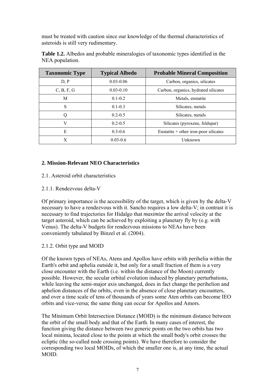must be treated with caution since our knowledge of the thermal characteristics of asteroids is still very rudimentary.

| <b>Taxonomic Type</b> | <b>Typical Albedo</b> | <b>Probable Mineral Composition</b>     |  |  |
|-----------------------|-----------------------|-----------------------------------------|--|--|
| D, P                  | $0.03 - 0.06$         | Carbon, organics, silicates             |  |  |
| C, B, F, G            | $0.03 - 0.10$         | Carbon, organics, hydrated silicates    |  |  |
| M                     | $0.1 - 0.2$           | Metals, enstatite                       |  |  |
| S                     | $0.1 - 0.3$           | Silicates, metals                       |  |  |
| Q                     | $0.2 - 0.5$           | Silicates, metals                       |  |  |
| V                     | $0.2 - 0.5$           | Silicates (pyroxene, feldspar)          |  |  |
| E                     | $0.3 - 0.6$           | Enstatite $+$ other iron-poor silicates |  |  |
| X                     | $0.03 - 0.6$          | Unknown                                 |  |  |

**Table 1.2.** Albedos and probable mineralogies of taxonomic types identified in the NEA population.

## **2. Mission-Relevant NEO Characteristics**

- 2.1. Asteroid orbit characteristics
- 2.1.1. Rendezvous delta-V

Of primary importance is the accessibility of the target, which is given by the delta-V necessary to have a rendezvous with it. Sancho requires a low delta-V; in contrast it is necessary to find trajectories for Hidalgo that *maximize* the arrival velocity at the target asteroid, which can be achieved by exploiting a planetary fly by (e.g. with Venus). The delta-V budgets for rendezvous missions to NEAs have been conveniently tabulated by Binzel et al. (2004).

## 2.1.2. Orbit type and MOID

Of the known types of NEAs, Atens and Apollos have orbits with perihelia within the Earth's orbit and aphelia outside it, but only for a small fraction of them is a very close encounter with the Earth (i.e. within the distance of the Moon) currently possible. However, the secular orbital evolution induced by planetary perturbations, while leaving the semi-major axis unchanged, does in fact change the perihelion and aphelion distances of the orbits, even in the absence of close planetary encounters, and over a time scale of tens of thousands of years some Aten orbits can become IEO orbits and vice-versa; the same thing can occur for Apollos and Amors.

The Minimum Orbit Intersection Distance (MOID) is the minimum distance between the orbit of the small body and that of the Earth. In many cases of interest, the function giving the distance between two generic points on the two orbits has two local minima, located close to the points at which the small body's orbit crosses the ecliptic (the so-called node crossing points). We have therefore to consider the corresponding two local MOIDs, of which the smaller one is, at any time, the actual MOID.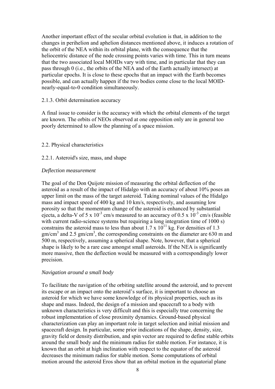Another important effect of the secular orbital evolution is that, in addition to the changes in perihelion and aphelion distances mentioned above, it induces a rotation of the orbit of the NEA within its orbital plane, with the consequence that the heliocentric distance of the node crossing points varies with time. This in turn means that the two associated local MOIDs vary with time, and in particular that they can pass through 0 (i.e., the orbits of the NEA and of the Earth actually intersect) at particular epochs. It is close to these epochs that an impact with the Earth becomes possible, and can actually happen if the two bodies come close to the local MOIDnearly-equal-to-0 condition simultaneously.

#### 2.1.3. Orbit determination accuracy

A final issue to consider is the accuracy with which the orbital elements of the target are known. The orbits of NEOs observed at one opposition only are in general too poorly determined to allow the planning of a space mission.

#### 2.2. Physical characteristics

#### 2.2.1. Asteroid's size, mass, and shape

#### *Deflection measurement*

The goal of the Don Quijote mission of measuring the orbital deflection of the asteroid as a result of the impact of Hidalgo with an accuracy of about 10% poses an upper limit on the mass of the target asteroid. Taking nominal values of the Hidalgo mass and impact speed of 400 kg and 10 km/s, respectively, and assuming low porosity so that the momentum change of the asteroid is enhanced by substantial ejecta, a delta-V of 5 x  $10^{-3}$  cm/s measured to an accuracy of 0.5 x  $10^{-3}$  cm/s (feasible with current radio-science systems but requiring a long integration time of 1000 s) constrains the asteroid mass to less than about 1.7 x  $10^{11}$  kg. For densities of 1.3 gm/cm<sup>3</sup> and 2.5 gm/cm<sup>3</sup>, the corresponding constraints on the diameter are 630 m and 500 m, respectively, assuming a spherical shape. Note, however, that a spherical shape is likely to be a rare case amongst small asteroids. If the NEA is significantly more massive, then the deflection would be measured with a correspondingly lower precision.

## *Navigation around a small body*

To facilitate the navigation of the orbiting satellite around the asteroid, and to prevent its escape or an impact onto the asteroid's surface, it is important to choose an asteroid for which we have some knowledge of its physical properties, such as its shape and mass. Indeed, the design of a mission and spacecraft to a body with unknown characteristics is very difficult and this is especially true concerning the robust implementation of close proximity dynamics. Ground-based physical characterization can play an important role in target selection and initial mission and spacecraft design. In particular, some prior indications of the shape, density, size, gravity field or density distribution, and spin vector are required to define stable orbits around the small body and the minimum radius for stable motion. For instance, it is known that an orbit at high inclination with respect to the equator of the asteroid decreases the minimum radius for stable motion. Some computations of orbital motion around the asteroid Eros show that an orbital motion in the equatorial plane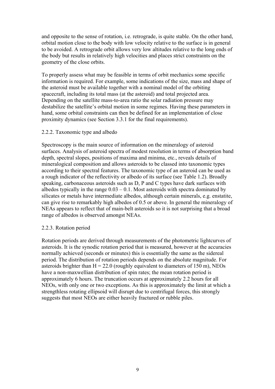and opposite to the sense of rotation, i.e. retrograde, is quite stable. On the other hand, orbital motion close to the body with low velocity relative to the surface is in general to be avoided. A retrograde orbit allows very low altitudes relative to the long ends of the body but results in relatively high velocities and places strict constraints on the geometry of the close orbits.

To properly assess what may be feasible in terms of orbit mechanics some specific information is required. For example, some indications of the size, mass and shape of the asteroid must be available together with a nominal model of the orbiting spacecraft, including its total mass (at the asteroid) and total projected area. Depending on the satellite mass-to-area ratio the solar radiation pressure may destabilize the satellite's orbital motion in some regimes. Having these parameters in hand, some orbital constraints can then be defined for an implementation of close proximity dynamics (see Section 3.3.1 for the final requirements).

#### 2.2.2. Taxonomic type and albedo

Spectroscopy is the main source of information on the mineralogy of asteroid surfaces. Analysis of asteroid spectra of modest resolution in terms of absorption band depth, spectral slopes, positions of maxima and minima, etc., reveals details of mineralogical composition and allows asteroids to be classed into taxonomic types according to their spectral features. The taxonomic type of an asteroid can be used as a rough indicator of the reflectivity or albedo of its surface (see Table 1.2). Broadly speaking, carbonaceous asteroids such as D, P and C types have dark surfaces with albedos typically in the range  $0.03 - 0.1$ . Most asteroids with spectra dominated by silicates or metals have intermediate albedos, although certain minerals, e.g. enstatite, can give rise to remarkably high albedos of 0.5 or above. In general the mineralogy of NEAs appears to reflect that of main-belt asteroids so it is not surprising that a broad range of albedos is observed amongst NEAs.

#### 2.2.3. Rotation period

Rotation periods are derived through measurements of the photometric lightcurves of asteroids. It is the synodic rotation period that is measured, however at the accuracies normally achieved (seconds or minutes) this is essentially the same as the sidereal period. The distribution of rotation periods depends on the absolute magnitude. For asteroids brighter than  $H = 22.0$  (roughly equivalent to diameters of 150 m), NEOs have a non-maxwellian distribution of spin rates; the mean rotation period is approximately 6 hours. The truncation occurs at approximately 2.2 hours for all NEOs, with only one or two exceptions. As this is approximately the limit at which a strengthless rotating ellipsoid will disrupt due to centrifugal forces, this strongly suggests that most NEOs are either heavily fractured or rubble piles.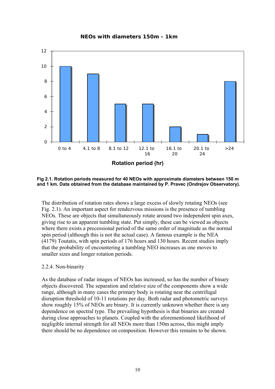**NEOs with diameters 150m - 1km**



**Fig 2.1. Rotation periods measured for 40 NEOs with approximate diameters between 150 m and 1 km. Data obtained from the database maintained by P. Pravec (Ondrejov Observatory).**

The distribution of rotation rates shows a large excess of slowly rotating NEOs (see Fig. 2.1). An important aspect for rendezvous missions is the presence of tumbling NEOs. These are objects that simultaneously rotate around two independent spin axes, giving rise to an apparent tumbling state. Put simply, these can be viewed as objects where there exists a precessional period of the same order of magnitude as the normal spin period (although this is not the actual case). A famous example is the NEA (4179) Toutatis, with spin periods of 176 hours and 130 hours. Recent studies imply that the probability of encountering a tumbling NEO increases as one moves to smaller sizes and longer rotation periods.

## 2.2.4. Non-binarity

As the database of radar images of NEOs has increased, so has the number of binary objects discovered. The separation and relative size of the components show a wide range, although in many cases the primary body is rotating near the centrifugal disruption threshold of 10-11 rotations per day. Both radar and photometric surveys show roughly 15% of NEOs are binary. It is currently unknown whether there is any dependence on spectral type. The prevailing hypothesis is that binaries are created during close approaches to planets. Coupled with the aforementioned likelihood of negligible internal strength for all NEOs more than 150m across, this might imply there should be no dependence on composition. However this remains to be shown.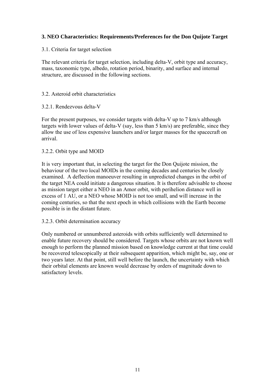## **3. NEO Characteristics: Requirements/Preferences for the Don Quijote Target**

3.1. Criteria for target selection

The relevant criteria for target selection, including delta-V, orbit type and accuracy, mass, taxonomic type, albedo, rotation period, binarity, and surface and internal structure, are discussed in the following sections.

## 3.2. Asteroid orbit characteristics

## 3.2.1. Rendezvous delta-V

For the present purposes, we consider targets with delta-V up to 7 km/s although targets with lower values of delta-V (say, less than 5 km/s) are preferable, since they allow the use of less expensive launchers and/or larger masses for the spacecraft on arrival.

#### 3.2.2. Orbit type and MOID

It is very important that, in selecting the target for the Don Quijote mission, the behaviour of the two local MOIDs in the coming decades and centuries be closely examined. A deflection manoeuver resulting in unpredicted changes in the orbit of the target NEA could initiate a dangerous situation. It is therefore advisable to choose as mission target either a NEO in an Amor orbit, with perihelion distance well in excess of 1 AU, or a NEO whose MOID is not too small, and will increase in the coming centuries, so that the next epoch in which collisions with the Earth become possible is in the distant future.

## 3.2.3. Orbit determination accuracy

Only numbered or unnumbered asteroids with orbits sufficiently well determined to enable future recovery should be considered. Targets whose orbits are not known well enough to perform the planned mission based on knowledge current at that time could be recovered telescopically at their subsequent apparition, which might be, say, one or two years later. At that point, still well before the launch, the uncertainty with which their orbital elements are known would decrease by orders of magnitude down to satisfactory levels.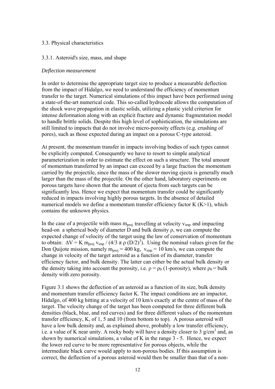#### 3.3. Physical characteristics

#### 3.3.1. Asteroid's size, mass, and shape

#### *Deflection measurement*

In order to determine the appropriate target size to produce a measurable deflection from the impact of Hidalgo, we need to understand the efficiency of momentum transfer to the target. Numerical simulations of this impact have been performed using a state-of-the-art numerical code. This so-called hydrocode allows the computation of the shock wave propagation in elastic solids, utilizing a plastic yield criterion for intense deformation along with an explicit fracture and dynamic fragmentation model to handle brittle solids. Despite this high level of sophistication, the simulations are still limited to impacts that do not involve micro-porosity effects (e.g. crushing of pores), such as those expected during an impact on a porous C-type asteroid.

At present, the momentum transfer in impacts involving bodies of such types cannot be explicitly computed. Consequently we have to resort to simple analytical parameterization in order to estimate the effect on such a structure. The total amount of momentum transferred by an impact can exceed by a large fraction the momentum carried by the projectile, since the mass of the slower moving ejecta is generally much larger than the mass of the projectile. On the other hand, laboratory experiments on porous targets have shown that the amount of ejecta from such targets can be significantly less. Hence we expect that momentum transfer could be significantly reduced in impacts involving highly porous targets. In the absence of detailed numerical models we define a momentum transfer efficiency factor  $K(K>1)$ , which contains the unknown physics.

In the case of a projectile with mass  $m_{proj}$  travelling at velocity  $v_{imp}$  and impacting head-on a spherical body of diameter D and bulk density ρ, we can compute the expected change of velocity of the target using the law of conservation of momentum to obtain:  $\Delta V = K m_{\text{proj}} v_{\text{imp}} / (4/3 \pi \rho (D/2)^3)$ . Using the nominal values given for the Don Quijote mission, namely  $m_{proj} = 400 \text{ kg}$ ,  $v_{imp} = 10 \text{ km/s}$ , we can compute the change in velocity of the target asteroid as a function of its diameter, transfer efficiency factor, and bulk density. The latter can either be the actual bulk density or the density taking into account the porosity, i.e.  $\rho = \rho_0$  (1-porosity), where  $\rho_0 = \text{bulk}$ density with zero porosity.

Figure 3.1 shows the deflection of an asteroid as a function of its size, bulk density and momentum transfer efficiency factor K. The impact conditions are an impactor, Hidalgo, of 400 kg hitting at a velocity of 10 km/s exactly at the centre of mass of the target. The velocity change of the target has been computed for three different bulk densities (black, blue, and red curves) and for three different values of the momentum transfer efficiency, K, of 1, 5 and 10 (from bottom to top). A porous asteroid will have a low bulk density and, as explained above, probably a low transfer efficiency, i.e. a value of K near unity. A rocky body will have a density closer to 3  $g/cm<sup>3</sup>$  and, as shown by numerical simulations, a value of K in the range 3 - 5. Hence, we expect the lower red curve to be more representative for porous objects, while the intermediate black curve would apply to non-porous bodies. If this assumption is correct, the deflection of a porous asteroid would then be smaller than that of a non-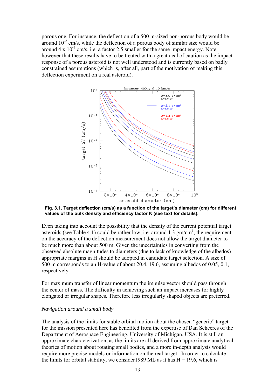porous one. For instance, the deflection of a 500 m-sized non-porous body would be around  $10^{-2}$  cm/s, while the deflection of a porous body of similar size would be around  $4 \times 10^{-3}$  cm/s, i.e. a factor 2.5 smaller for the same impact energy. Note however that these results have to be treated with a great deal of caution as the impact response of a porous asteroid is not well understood and is currently based on badly constrained assumptions (which is, after all, part of the motivation of making this deflection experiment on a real asteroid).



**Fig. 3.1. Target deflection (cm/s) as a function of the target's diameter (cm) for different values of the bulk density and efficiency factor K (see text for details).** 

Even taking into account the possibility that the density of the current potential target asteroids (see Table 4.1) could be rather low, i.e. around 1.3  $\text{gm/cm}^3$ , the requirement on the accuracy of the deflection measurement does not allow the target diameter to be much more than about 500 m. Given the uncertainties in converting from the observed absolute magnitudes to diameters (due to lack of knowledge of the albedos) appropriate margins in H should be adopted in candidate target selection. A size of 500 m corresponds to an H-value of about 20.4, 19.6, assuming albedos of 0.05, 0.1, respectively.

For maximum transfer of linear momentum the impulse vector should pass through the center of mass. The difficulty in achieving such an impact increases for highly elongated or irregular shapes. Therefore less irregularly shaped objects are preferred.

#### *Navigation around a small body*

The analysis of the limits for stable orbital motion about the chosen "generic" target for the mission presented here has benefited from the expertise of Dan Scheeres of the Department of Aerospace Engineering, University of Michigan, USA. It is still an approximate characterization, as the limits are all derived from approximate analytical theories of motion about rotating small bodies, and a more in-depth analysis would require more precise models or information on the real target. In order to calculate the limits for orbital stability, we consider 1989 ML as it has  $H = 19.6$ , which is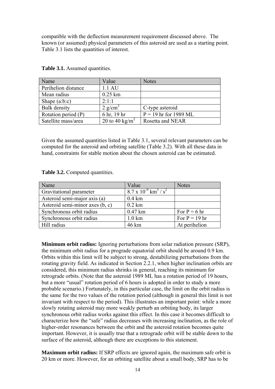compatible with the deflection measurement requirement discussed above. The known (or assumed) physical parameters of this asteroid are used as a starting point. Table 3.1 lists the quantities of interest.

| Name                | Value                      | <b>Notes</b>            |
|---------------------|----------------------------|-------------------------|
| Perihelion distance | 1.1 AU                     |                         |
| Mean radius         | $0.25$ km                  |                         |
| Shape $(a:b:c)$     | $2 \cdot 1 \cdot 1$        |                         |
| <b>Bulk</b> density | $2$ g/cm <sup>3</sup>      | C-type asteroid         |
| Rotation period (P) | 6 hr, 19 hr                | $P = 19$ hr for 1989 ML |
| Satellite mass/area | 20 to 40 kg/m <sup>2</sup> | Rosetta and NEAR        |

**Table 3.1.** Assumed quantities.

Given the assumed quantities listed in Table 3.1, several relevant parameters can be computed for the asteroid and orbiting satellite (Table 3.2). With all these data in hand, constraints for stable motion about the chosen asteroid can be estimated.

| Table 3.2. Computed quantities. |  |
|---------------------------------|--|
|---------------------------------|--|

| Name                            | Value                                                 | <b>Notes</b>    |
|---------------------------------|-------------------------------------------------------|-----------------|
| <b>Gravitational parameter</b>  | $8.7 \times 10^{-9}$ km <sup>3</sup> / s <sup>2</sup> |                 |
| Asteroid semi-major axis (a)    | $0.4 \text{ km}$                                      |                 |
| Asteroid semi-minor axes (b, c) | $0.2$ km                                              |                 |
| Synchronous orbit radius        | $0.47$ km                                             | For $P = 6$ hr  |
| Synchronous orbit radius        | $1.0 \mathrm{km}$                                     | For $P = 19$ hr |
| Hill radius                     | 46 km                                                 | At perihelion   |

**Minimum orbit radius:** Ignoring perturbations from solar radiation pressure (SRP), the minimum orbit radius for a prograde equatorial orbit should be around 0.9 km. Orbits within this limit will be subject to strong, destabilizing perturbations from the rotating gravity field. As indicated in Section 2.2.1, when higher inclination orbits are considered, this minimum radius shrinks in general, reaching its minimum for retrograde orbits. (Note that the asteroid 1989 ML has a rotation period of 19 hours, but a more "usual" rotation period of 6 hours is adopted in order to study a more probable scenario.) Fortunately, in this particular case, the limit on the orbit radius is the same for the two values of the rotation period (although in general this limit is not invariant with respect to the period). This illustrates an important point: while a more slowly rotating asteroid may more weakly perturb an orbiting body, its larger synchronous orbit radius works against this effect. In this case it becomes difficult to characterize how the "safe" radius decreases with increasing inclination, as the role of higher-order resonances between the orbit and the asteroid rotation becomes quite important. However, it is usually true that a retrograde orbit will be stable down to the surface of the asteroid, although there are exceptions to this statement.

**Maximum orbit radius:** If SRP effects are ignored again, the maximum safe orbit is 20 km or more. However, for an orbiting satellite about a small body, SRP has to be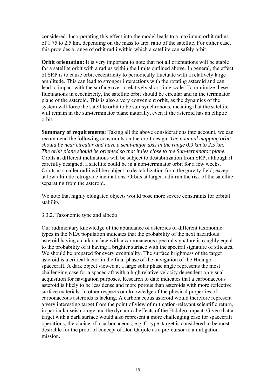considered. Incorporating this effect into the model leads to a maximum orbit radius of 1.75 to 2.5 km, depending on the mass to area ratio of the satellite. For either case, this provides a range of orbit radii within which a satellite can safely orbit.

**Orbit orientation:** It is very important to note that not all orientations will be stable for a satellite orbit with a radius within the limits outlined above. In general, the effect of SRP is to cause orbit eccentricity to periodically fluctuate with a relatively large amplitude. This can lead to stronger interactions with the rotating asteroid and can lead to impact with the surface over a relatively short time scale. To minimize these fluctuations in eccentricity, the satellite orbit should be circular and in the terminator plane of the asteroid. This is also a very convenient orbit, as the dynamics of the system will force the satellite orbit to be sun-synchronous, meaning that the satellite will remain in the sun-terminator plane naturally, even if the asteroid has an elliptic orbit.

**Summary of requirements:** Taking all the above considerations into account, we can recommend the following constraints on the orbit design. *The nominal mapping orbit should be near circular and have a semi-major axis in the range 0.9 km to 2.5 km. The orbit plane should be oriented so that it lies close to the Sun-terminator plane.*  Orbits at different inclinations will be subject to destabilization from SRP, although if carefully designed, a satellite could be in a non-terminator orbit for a few weeks. Orbits at smaller radii will be subject to destabilization from the gravity field, except at low-altitude retrograde inclinations. Orbits at larger radii run the risk of the satellite separating from the asteroid.

We note that highly elongated objects would pose more severe constraints for orbital stability.

#### 3.3.2. Taxonomic type and albedo

Our rudimentary knowledge of the abundance of asteroids of different taxonomic types in the NEA population indicates that the probability of the next hazardous asteroid having a dark surface with a carbonaceous spectral signature is roughly equal to the probability of it having a brighter surface with the spectral signature of silicates. We should be prepared for every eventuality. The surface brightness of the target asteroid is a critical factor in the final phase of the navigation of the Hidalgo spacecraft. A dark object viewed at a large solar phase angle represents the most challenging case for a spacecraft with a high relative velocity dependent on visual acquisition for navigation purposes. Research to date indicates that a carbonaceous asteroid is likely to be less dense and more porous than asteroids with more reflective surface materials. In other respects our knowledge of the physical properties of carbonaceous asteroids is lacking. A carbonaceous asteroid would therefore represent a very interesting target from the point of view of mitigation-relevant scientific return, in particular seismology and the dynamical effects of the Hidalgo impact. Given that a target with a dark surface would also represent a more challenging case for spacecraft operations, the choice of a carbonaceous, e.g. C-type, target is considered to be most desirable for the proof of concept of Don Quijote as a pre-cursor to a mitigation mission.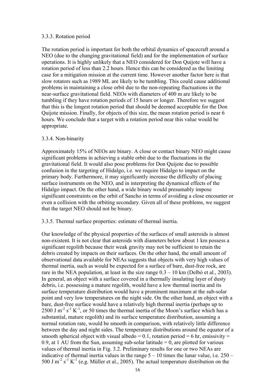#### 3.3.3. Rotation period

The rotation period is important for both the orbital dynamics of spacecraft around a NEO (due to the changing gravitational field) and for the implementation of surface operations. It is highly unlikely that a NEO considered for Don Quijote will have a rotation period of less than 2.2 hours. Hence this can be considered as the limiting case for a mitigation mission at the current time. However another factor here is that slow rotators such as 1989 ML are likely to be tumbling. This could cause additional problems in maintaining a close orbit due to the non-repeating fluctuations in the near-surface gravitational field. NEOs with diameters of 400 m are likely to be tumbling if they have rotation periods of 15 hours or longer. Therefore we suggest that this is the longest rotation period that should be deemed acceptable for the Don Quijote mission. Finally, for objects of this size, the mean rotation period is near 6 hours. We conclude that a target with a rotation period near this value would be appropriate.

#### 3.3.4. Non-binarity

Approximately 15% of NEOs are binary. A close or contact binary NEO might cause significant problems in achieving a stable orbit due to the fluctuations in the gravitational field. It would also pose problems for Don Quijote due to possible confusion in the targeting of Hidalgo, i.e. we require Hidalgo to impact on the primary body. Furthermore, it may significantly increase the difficulty of placing surface instruments on the NEO, and in interpreting the dynamical effects of the Hidalgo impact. On the other hand, a wide binary would presumably impose significant constraints on the orbit of Sancho in terms of avoiding a close encounter or even a collision with the orbiting secondary. Given all of these problems, we suggest that the target NEO should not be binary.

3.3.5. Thermal surface properties: estimate of thermal inertia.

Our knowledge of the physical properties of the surfaces of small asteroids is almost non-existent. It is not clear that asteroids with diameters below about 1 km possess a significant regolith because their weak gravity may not be sufficient to retain the debris created by impacts on their surfaces. On the other hand, the small amount of observational data available for NEAs suggests that objects with very high values of thermal inertia, such as would be expected for a surface of bare, dust-free rock, are rare in the NEA population, at least in the size range  $0.3 - 10$  km (Delbó et al., 2003). In general, an object with a surface covered in a thermally insulating layer of dusty debris, i.e. possessing a mature regolith, would have a low thermal inertia and its surface temperature distribution would have a prominent maximum at the sub-solar point and very low temperatures on the night side. On the other hand, an object with a bare, dust-free surface would have a relatively high thermal inertia (perhaps up to 2500 J  $m^{-2}$  s<sup>-1</sup> K<sup>-1</sup>, or 50 times the thermal inertia of the Moon's surface which has a substantial, mature regolith) and its surface temperature distribution, assuming a normal rotation rate, would be smooth in comparison, with relatively little difference between the day and night sides. The temperature distributions around the equator of a smooth spherical object with visual albedo = 0.1, rotation period = 6 hr, emissivity = 0.9, at 1 AU from the Sun, assuming sub-solar latitude  $= 0$ , are plotted for various values of thermal inertia in Fig. 3.2. Preliminary results for one or two NEAs are indicative of thermal inertia values in the range  $5 - 10$  times the lunar value, i.e.  $250 -$ 500 J m<sup>-2</sup> s<sup>-1</sup> K<sup>-1</sup> (e.g. Müller et al., 2005). The actual temperature distribution on the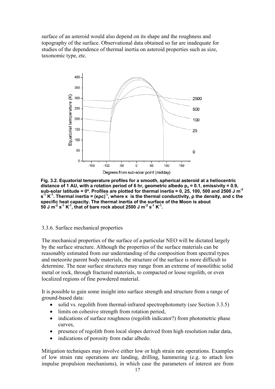taxonomic type, etc. surface of an asteroid would also depend on its shape and the roughness and topography of the surface. Observational data obtained so far are inadequate for studies of the dependence of thermal inertia on asteroid properties such as size,



**Fig. 3.2. Equatorial temperature profiles for a smooth, spherical asteroid at a heliocentric**  distance of 1 AU, with a rotation period of 6 hr, geometric albedo p<sub>v</sub> = 0.1, emissivity = 0.9, sub-solar latitude = 0°. Profiles are plotted for thermal inertia = 0, 25, 100, 500 and 2500 J m<sup>-2</sup> **-1 <sup>½</sup> s K . Thermal inertia = (κρc) , where κ is the thermal conductivity, ρ the density, and c the -1 specific heat capacity. The thermal inertia of the surface of the Moon is about 50 J m -2 s-1 K-1, that of bare rock about 2500 J m-2 s-1 K-1.** 

#### 3.3.6. Surface mechanical properties

The mechanical properties of the surface of a particular NEO will be dictated largely by the surface structure. Although the properties of the surface materials can be reasonably estimated from our understanding of the composition from spectral types determine. The near surface structures may range from an extreme of monolithic solid and meteorite parent body materials, the structure of the surface is more difficult to metal or rock, through fractured materials, to compacted or loose regolith, or even localized regions of fine powdered material.

It is possible to gain some insight into surface strength and structure from a range of ground-based data:

- solid vs. regolith from thermal-infrared spectrophotomety (see Section 3.3.5)
- limits on cohesive strength from rotation period,
- indications of surface roughness (regolith indicator?) from photometric phase curves,
- presence of regolith from local slopes derived from high resolution radar data,
- indications of porosity from radar albedo.

Mitigation techniques may involve either low or high strain rate operations. Examples of low strain rate operations are landing, drilling, hammering (e.g. to attach low impulse propulsion mechanisms), in which case the parameters of interest are from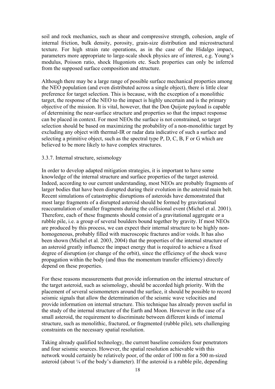soil and rock mechanics, such as shear and compressive strength, cohesion, angle of internal friction, bulk density, porosity, grain-size distribution and microstructural texture. For high strain rate operations, as in the case of the Hidalgo impact, parameters more appropriate to large-scale shock physics are of interest, e.g. Young's modulus, Poisson ratio, shock Hugoniots etc. Such properties can only be inferred from the supposed surface composition and structure.

the NEO population (and even distributed across a single object), there is little clear preference for target selection. This is because, with the exception of a monolithic Although there may be a large range of possible surface mechanical properties among target, the response of the NEO to the impact is highly uncertain and is the primary objective of the mission. It is vital, however, that the Don Quijote payload is capable of determining the near-surface structure and properties so that the impact response can be placed in context. For most NEOs the surface is not constrained, so target selection should be based on maximizing the probability of a non-monolithic target by excluding any object with thermal-IR or radar data indicative of such a surface and selecting a primitive object, such as the spectral type P, D, C, B, F or G which are believed to be more likely to have complex structures.

#### 3.3.7. Internal structure, seismology

In order to develop adapted mitigation strategies, it is important to have some knowledge of the internal structure and surface properties of the target asteroid. Indeed, according to our current understanding, most NEOs are probably fragments of larger bodies that have been disrupted during their evolution in the asteroid main belt. Recent simulations of catastrophic disruptions of asteroids have demonstrated that rubble pile, i.e. a group of several boulders bound together by gravity. If most NEOs most large fragments of a disrupted asteroid should be formed by gravitational reaccumulation of smaller fragments during the collisional event (Michel et al. 2001). Therefore, each of these fragments should consist of a gravitational aggregate or a are produced by this process, we can expect their internal structure to be highly nonhomogeneous, probably filled with macroscopic fractures and/or voids. It has also been shown (Michel et al. 2003, 2004) that the properties of the internal structure of an asteroid greatly influence the impact energy that is required to achieve a fixed degree of disruption (or change of the orbit), since the efficiency of the shock wave propagation within the body (and thus the momentum transfer efficiency) directly depend on these properties.

For these reasons measurements that provide information on the internal structure of the target asteroid, such as seismology, should be accorded high priority. With the placement of several seismometers around the surface, it should be possible to record provide information on internal structure. This technique has already proven useful in small asteroid, the requirement to discriminate between different kinds of internal seismic signals that allow the determination of the seismic wave velocities and the study of the internal structure of the Earth and Moon. However in the case of a structure, such as monolithic, fractured, or fragmented (rubble pile), sets challenging constraints on the necessary spatial resolution.

and four seismic sources. However, the spatial resolution achievable with this network would certainly be relatively poor, of the order of 100 m for a 500 m-sized asteroid (about  $\frac{1}{4}$  of the body's diameter). If the asteroid is a rubble pile, depending Taking already qualified technology, the current baseline considers four penetrators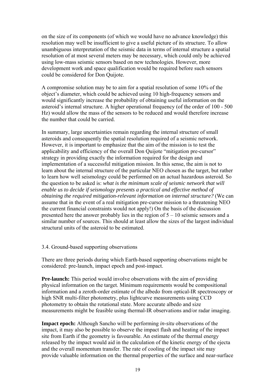resolution may well be insufficient to give a useful picture of its structure. To allow on the size of its components (of which we would have no advance knowledge) this unambiguous interpretation of the seismic data in terms of internal structure a spatial resolution of at most several meters may be necessary, which could only be achieved using low-mass seismic sensors based on new technologies. However, more development work and space qualification would be required before such sensors could be considered for Don Quijote.

A compromise solution may be to aim for a spatial resolution of some 10% of the would significantly increase the probability of obtaining useful information on the asteroid's internal structure. A higher operational frequency (of the order of 100 - 500 Hz) would allow the mass of the sensors to be reduced and would therefore increase object's diameter, which could be achieved using 10 high-frequency sensors and the number that could be carried.

However, it is important to emphasize that the aim of the mission is to test the applicability and efficiency of the overall Don Quijote "mitigation pre-cursor" learn about the internal structure of the particular NEO chosen as the target, but rather to learn how well seismology could be performed on an actual hazardous asteroid. So the question to be asked is: *what is the minimum scale of seismic network that will* presented here the answer probably lies in the region of  $5 - 10$  seismic sensors and a In summary, large uncertainties remain regarding the internal structure of small asteroids and consequently the spatial resolution required of a seismic network. strategy in providing exactly the information required for the design and implementation of a successful mitigation mission. In this sense, the aim is not to *enable us to decide if seismology presents a practical and effective method of obtaining the required mitigation-relevant information on internal structure?* (We can assume that in the event of a real mitigation pre-cursor mission to a threatening NEO the current financial constraints would not apply!) On the basis of the discussion similar number of sources. This should at least allow the sizes of the largest individual structural units of the asteroid to be estimated.

#### 3.4. Ground-based supporting observations

There are three periods during which Earth-based supporting observations might be considered: pre-launch, impact epoch and post-impact.

Pre-launch: This period would involve observations with the aim of providing information and a zeroth-order estimate of the albedo from optical-IR spectroscopy or high SNR multi-filter photometry, plus lightcurve measurements using CCD . measurements might be feasible using thermal-IR observations and/or radar imaging physical information on the target. Minimum requirements would be compositional photometry to obtain the rotational state. More accurate albedo and size

**Impact epoch:** Although Sancho will be performing *in-situ* observations of the impact, it may also be possible to observe the impact flash and heating of the impact released by the impact would aid in the calculation of the kinetic energy of the ejecta site from Earth if the geometry is favourable. An estimate of the thermal energy and the overall momentum transfer. The rate of cooling of the impact site may provide valuable information on the thermal properties of the surface and near-surface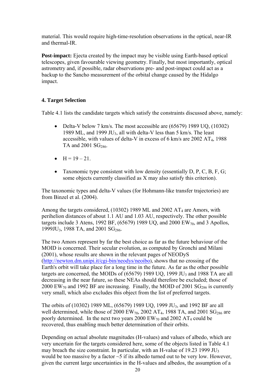material. This would require high-time-resolution observations in the optical, near-IR and thermal-IR.

telescopes, given favourable viewing geometry. Finally, but most importantly, optical astrometry and, if possible, radar observations pre- and post-impact could act as a **Post-impact:** Ejecta created by the impact may be visible using Earth-based optical backup to the Sancho measurement of the orbital change caused by the Hidalgo impact.

## **4. Target Selection**

Table 4.1 lists the candidate targets which satisfy the constraints discussed above, namely:

- Delta-V below 7 km/s. The most accessible are (65679) 1989 UQ, (10302) accessible, with values of delta-V in excess of 6 km/s are  $2002 AT<sub>4</sub>$ , 1988 1989 ML, and 1999 JU<sub>3</sub>, all with delta-V less than 5 km/s. The least TA and  $2001$  SG<sub>286</sub>.
- $H = 19 21$ .
- Taxonomic type consistent with low density (essentially  $D, P, C, B, F, G;$ some objects currently classified as X may also satisfy this criterion).

The taxonomic types and delta-V values (for Hohmann-like transfer trajectories) are from Bin zel et al. (2004).

perihelion distances of about 1.1 AU and 1.03 AU, respectively. The other possible targets include 3 Atens, 1992 BF,  $(65679)$  1989 UQ, and 2000 EW<sub>70</sub>, and 3 Apollos, Among the targets considered,  $(10302)$  1989 ML and 2002 AT<sub>4</sub> are Amors, with 1999JU<sub>3</sub>, 1988 TA, and 2001 SG<sub>286</sub>.

MOID is concerned. Their secular evolution, as computed by Gronchi and Milani  $(2001)$ , whose results are shown in the relevant pages of NEODyS The two Amors represent by far the best choice as far as the future behaviour of the (http://newton.dm.unipi.it/cgi-bin/neodys/neoibo), shows that no crossing of the Earth's orbit will take place for a long time in the future. As far as the other possibl e targets are concerned, the MOIDs of  $(65679)$  1989 UQ, 1999 JU<sub>3</sub> and 1988 TA are all decreasing in the near future, so these NEAs should therefore be excluded; those of 2000 EW<sub>70</sub> and 1992 BF are increasing. Finally, the MOID of 2001 SG<sub>286</sub> is currently very small, which also excludes this object from the list of preferred targets.

well determined, while those of 2000  $EW_{70}$ , 2002  $AT_4$ , 1988 TA, and 2001  $SG_{286}$  are poorly determined. In the next two years  $2000 \text{ EW}_{70}$  and  $2002 \text{ AT}_4$  could be The orbits of (10302) 1989 ML, (65679) 1989 UQ, 1999 JU3, and 1992 BF are all recovered, thus enabling much better determination of their orbits.

Depending on actual absolute magnitudes (H-values) and values of albedo, which are very uncertain for the targets considered here, some of the objects listed in Table 4.1 may breach the size constraint. In particular, with an H-value of  $19.23$  1999 JU<sub>3</sub> would be too massive by a factor ~5 if its albedo turned out to be very low. However, given the current large uncertainties in the H-values and albedos, the assumption of a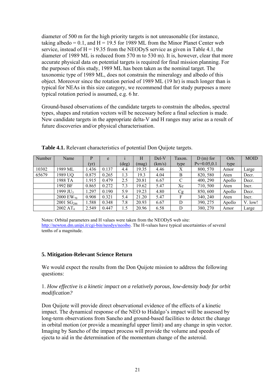diameter of 1989 ML is reduced from 570 m to 530 m). It is, however, clear that more accurate physical data on potential targets is required for final mission planning. For typical for NEAs in this size category, we recommend that for study purposes a more diameter of 500 m for the high priority targets is not unreasonable (for instance, taking albedo =  $0.1$ , and H = 19.5 for 1989 ML from the Minor Planet Center web service, instead of  $H = 19.35$  from the NEODyS service as given in Table 4.1, the the purposes of this study, 1989 ML has been taken as the nominal target. The taxonomic type of 1989 ML, does not constrain the mineralogy and albedo of this object. Moreover since the rotation period of 1989 ML (19 hr) is much longer than is typical rotation period is assumed, e.g. 6 hr.

types, shapes and rotation vectors will be necessary before a final selection is made. New candidate targets in the appropriate delta-V and H ranges may arise as a result of Ground-based observations of the candidate targets to constrain the albedos, spectral future discoveries and/or physical characterisation.

| Number | Name                  | P     | e     |                | H     | Del-V  | Taxon.        | $D(m)$ for     | Orb.   | <b>MOID</b> |
|--------|-----------------------|-------|-------|----------------|-------|--------|---------------|----------------|--------|-------------|
|        |                       | (vr)  |       | $(\text{deg})$ | (mag) | (km/s) | type          | $Pv=0.05, 0.1$ | type   |             |
| 10302  | 1989 ML               | 1.436 | 0.137 | 4.4            | 19.35 | 4.46   | X             | 800, 570       | Amor   | Large       |
| 65679  | 1989 UQ               | 0.875 | 0.265 | 1.3            | 19.3  | 4.04   | B             | 820, 580       | Aten   | Decr.       |
|        | 1988 TA               | 1.915 | 0.479 | 2.5            | 20.81 | 6.67   | $\mathcal{C}$ | 400, 290       | Apollo | Decr.       |
|        | 1992 BF               | 0.865 | 0.272 | 7.3            | 19.62 | 5.47   | Xc            | 710, 500       | Aten   | Incr.       |
|        | 1999 JU <sub>3</sub>  | 1.297 | 0.190 | 5.9            | 19.23 | 4.80   | Cg            | 850, 600       | Apollo | Decr.       |
|        | 2000 EW <sub>70</sub> | 0.908 | 0.321 | 5.4            | 21.20 | 5.47   | F             | 340, 240       | Aten   | Incr.       |
|        | 2001 $SG286$          | 1.588 | 0.348 | 7.8            | 20.93 | 6.67   | D             | 390, 275       | Apollo | V. low!     |
|        | 2002 AT <sub>4</sub>  | 2.549 | 0.447 | 1.5            | 20.96 | 6.58   | D             | 380, 270       | Amor   | Large       |

Table 4.1. Relevant characteristics of potential Don Quijote targets.

Notes: Orbital parameters and H values were taken from the NEODyS web site: http://newton.dm.unipi.it/cgi-bin/neodys/neoibo. The H-values have typical uncertainties of several tenths of a magnitude.

## **. Mitigation-Relevant Science Return 5**

We would expect the results from the Don Quijote mission to address the following questions:

#### *n? modificatio* 1. *How effective is a kinetic impact on a relatively porous, low-density body for orbit*

impact. The dynamical response of the NEO to Hidalgo's impact will be assessed by long-term observations from Sancho and ground-based facilities to detect the change in orbital motion (or provide a meaningful upper limit) and any change in spin vector. Don Quijote will provide direct observational evidence of the effects of a kinetic Imaging by Sancho of the impact process will provide the volume and speeds of ejecta to aid in the determination of the momentum change of the asteroid.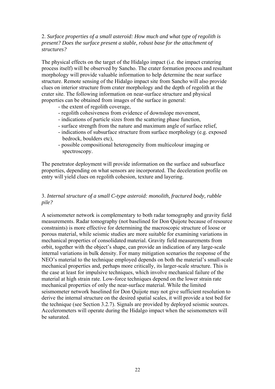#### . *Surface properties of a small asteroid: How much and what type of regolith is*  2 *present? Does the surface present a stable, robust base for the attachment of structures?*

The physical effects on the target of the Hidalgo impact (i.e. the impact cratering process itself) will be observed by Sancho. The crater formation process and resultant structure. Remote sensing of the Hidalgo impact site from Sancho will also provide morphology will provide valuable information to help determine the near surface clues on interior structure from crater morphology and the depth of regolith at the crater site. The following information on near-surface structure and physical properties can be obtained from images of the surface in general:

- the extent of regolith coverage,
- regolith cohesiveness from evidence of downslope movement,
	- indications of particle sizes from the scattering phase function,
- surface strength from the nature and maximum angle of surface relief,
- indications of subsurface structure from surface morphology (e.g. exposed bedrock, boulders etc),
- possible compositional heterogeneity from multicolour imaging or spectroscopy.

The penetrator deployment will provide information on the surface and subsurface properties, depending on what sensors are incorporated. The deceleration profile on entry will yield clues on regolith cohesion, texture and layering.

#### . *Internal structure of a small C-type asteroid: monolith, fractured body, rubble*  3 *pile?*

A seismometer network is complementary to both radar tomography and gravity field internal variations in bulk density. For many mitigation scenarios the response of the seismometer network baselined for Don Quijote may not give sufficient resolution to measurements. Radar tomography (not baselined for Don Quijote because of resource constraints) is more effective for determining the macroscopic structure of loose or porous material, while seismic studies are more suitable for examining variations in mechanical properties of consolidated material. Gravity field measurements from orbit, together with the object's shape, can provide an indication of any large-scale NEO's material to the technique employed depends on both the material's small-scale mechanical properties and, perhaps more critically, its larger-scale structure. This is the case at least for impulsive techniques, which involve mechanical failure of the material at high strain rate. Low-force techniques depend on the lower strain rate mechanical properties of only the near-surface material. While the limited derive the internal structure on the desired spatial scales, it will provide a test bed for the technique (see Section 3.2.7). Signals are provided by deployed seismic sources. Accelerometers will operate during the Hidalgo impact when the seismometers will be saturated.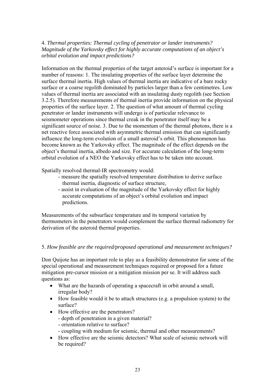4. *Thermal properties: Thermal cycling of penetrator or lander instruments? Magnitude of the Yarkovsky effect for highly accurate computations of an object's orbital evolution and impact predictions?* 

Information on the thermal properties of the target asteroid's surface is important for a number of reasons: 1. The insulating properties of the surface layer determine the surface thermal inertia. High values of thermal inertia are indicative of a bare rocky surface or a coarse regolith dominated by particles larger than a few centimetres. Low values of thermal inertia are associated with an insulating dusty regolith (see Section 3.2.5). Therefore measurements of thermal inertia provide information on the physical properties of the surface layer. 2. The question of what amount of thermal cycling penetrator or lander instruments will undergo is of particular relevance to seismometer operations since thermal creak in the penetrator itself may be a significant source of noise. 3. Due to the momentum of the thermal photons, there is a net reactive force associated with asymmetric thermal emission that can significantly influence the long-term evolution of a small asteroid's orbit. This phenomenon has become known as the Yarkovsky effect. The magnitude of the effect depends on the object's thermal inertia, albedo and size. For accurate calculation of the long-term orbital evolution of a NEO the Yarkovsky effect has to be taken into account.

Spatially resolved thermal-IR spectrometry would:

- measure the spatially resolved temperature distribution to derive surface thermal inertia, diagnostic of surface structure,
- assist in evaluation of the magnitude of the Yarkovsky effect for highly accurate computations of an object's orbital evolution and impact predictions.

Measurements of the subsurface temperature and its temporal variation by thermometers in the penetrators would complement the surface thermal radiometry for derivation of the asteroid thermal properties.

## 5. *How feasible are the required/proposed operational and measurement techniques?*

Don Quijote has an important role to play as a feasibility demonstrator for some of the special operational and measurement techniques required or proposed for a future mitigation pre-cursor mission or a mitigation mission per se. It will address such questions as:

- What are the hazards of operating a spacecraft in orbit around a small, irregular body?
- How feasible would it be to attach structures (e.g. a propulsion system) to the surface?
- How effective are the penetrators?
	- depth of penetration in a given material?
	- orientation relative to surface?
	- coupling with medium for seismic, thermal and other measurements?
- How effective are the seismic detectors? What scale of seismic network will be required?